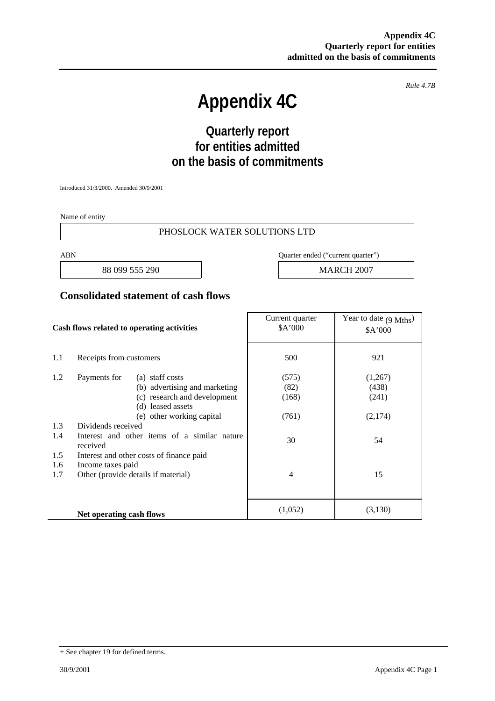*Rule 4.7B* 

# **Appendix 4C**

## **Quarterly report for entities admitted on the basis of commitments**

Introduced 31/3/2000. Amended 30/9/2001

Name of entity

#### PHOSLOCK WATER SOLUTIONS LTD

88 099 555 290 **MARCH 2007** 

ABN Quarter ended ("current quarter")

#### **Consolidated statement of cash flows**

| Cash flows related to operating activities |                                                          | Current quarter<br>\$A'000 | Year to date $(9 \text{ Mths})$<br>\$A'000 |
|--------------------------------------------|----------------------------------------------------------|----------------------------|--------------------------------------------|
| 1.1                                        | Receipts from customers                                  | 500                        | 921                                        |
| 1.2                                        | Payments for<br>(a) staff costs                          | (575)                      | (1,267)                                    |
|                                            | (b) advertising and marketing                            | (82)                       | (438)                                      |
|                                            | (c) research and development                             | (168)                      | (241)                                      |
|                                            | (d) leased assets                                        |                            |                                            |
|                                            | (e) other working capital                                | (761)                      | (2,174)                                    |
| 1.3                                        | Dividends received                                       |                            |                                            |
| 1.4                                        | Interest and other items of a similar nature<br>received | 30                         | 54                                         |
| 1.5                                        | Interest and other costs of finance paid                 |                            |                                            |
| 1.6                                        | Income taxes paid                                        |                            |                                            |
| 1.7                                        | Other (provide details if material)                      | $\overline{4}$             | 15                                         |
|                                            |                                                          |                            |                                            |
|                                            | Net operating cash flows                                 | (1,052)                    | (3,130)                                    |

<sup>+</sup> See chapter 19 for defined terms.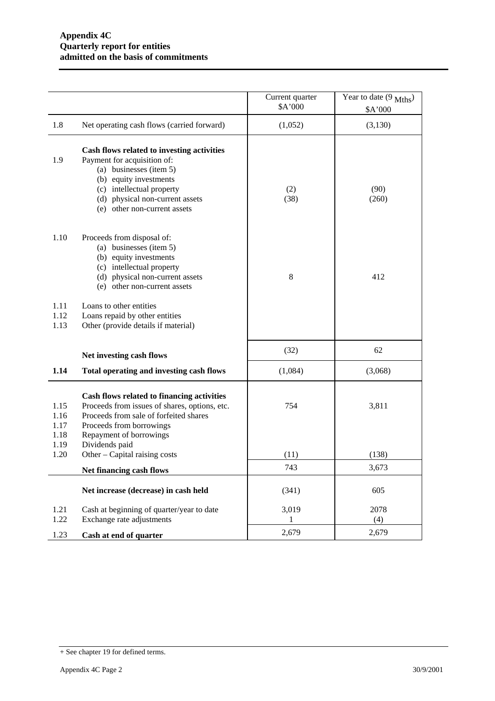|                              |                                                                                                                                                                                                                                | Current quarter<br>\$A'000 | Year to date $(9 \text{ Mths})$<br>\$A'000 |
|------------------------------|--------------------------------------------------------------------------------------------------------------------------------------------------------------------------------------------------------------------------------|----------------------------|--------------------------------------------|
| 1.8                          | Net operating cash flows (carried forward)                                                                                                                                                                                     | (1,052)                    | (3,130)                                    |
| 1.9                          | Cash flows related to investing activities<br>Payment for acquisition of:<br>(a) businesses (item 5)<br>(b) equity investments<br>(c) intellectual property<br>(d) physical non-current assets<br>(e) other non-current assets | (2)<br>(38)                | (90)<br>(260)                              |
| 1.10                         | Proceeds from disposal of:<br>(a) businesses (item 5)<br>(b) equity investments<br>(c) intellectual property<br>(d) physical non-current assets<br>(e) other non-current assets                                                | 8                          | 412                                        |
| 1.11<br>1.12<br>1.13         | Loans to other entities<br>Loans repaid by other entities<br>Other (provide details if material)                                                                                                                               |                            |                                            |
|                              | Net investing cash flows                                                                                                                                                                                                       | (32)                       | 62                                         |
| 1.14                         | Total operating and investing cash flows                                                                                                                                                                                       | (1,084)                    | (3,068)                                    |
| 1.15<br>1.16<br>1.17<br>1.18 | Cash flows related to financing activities<br>Proceeds from issues of shares, options, etc.<br>Proceeds from sale of forfeited shares<br>Proceeds from borrowings<br>Repayment of borrowings                                   | 754                        | 3,811                                      |
| 1.19<br>1.20                 | Dividends paid<br>Other – Capital raising costs                                                                                                                                                                                | (11)                       | (138)                                      |
|                              | Net financing cash flows                                                                                                                                                                                                       | 743                        | 3,673                                      |
|                              | Net increase (decrease) in cash held                                                                                                                                                                                           | (341)                      | 605                                        |
| 1.21<br>1.22                 | Cash at beginning of quarter/year to date<br>Exchange rate adjustments                                                                                                                                                         | 3,019<br>1                 | 2078<br>(4)                                |
| 1.23                         | Cash at end of quarter                                                                                                                                                                                                         | 2,679                      | 2,679                                      |

<sup>+</sup> See chapter 19 for defined terms.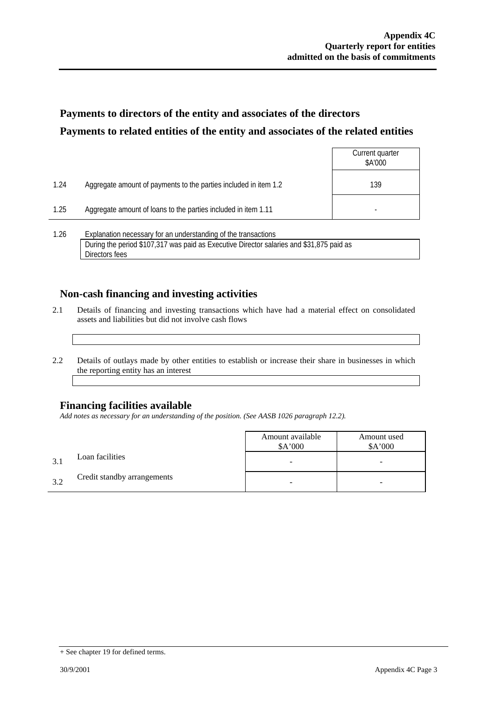### **Payments to directors of the entity and associates of the directors Payments to related entities of the entity and associates of the related entities**

|      |                                                                  | Current quarter<br>\$A'000 |
|------|------------------------------------------------------------------|----------------------------|
| 1.24 | Aggregate amount of payments to the parties included in item 1.2 | 139                        |
| 1.25 | Aggregate amount of loans to the parties included in item 1.11   |                            |
| 1.26 | Explanation necessary for an understanding of the transactions   |                            |

During the period \$107,317 was paid as Executive Director salaries and \$31,875 paid as Directors fees

### **Non-cash financing and investing activities**

- 2.1 Details of financing and investing transactions which have had a material effect on consolidated assets and liabilities but did not involve cash flows
- 2.2 Details of outlays made by other entities to establish or increase their share in businesses in which the reporting entity has an interest

### **Financing facilities available**

*Add notes as necessary for an understanding of the position. (See AASB 1026 paragraph 12.2).* 

|    |                             | Amount available<br>A'000 | Amount used<br>\$A'000 |
|----|-----------------------------|---------------------------|------------------------|
|    | Loan facilities             |                           | -                      |
| 32 | Credit standby arrangements |                           | -                      |

<sup>+</sup> See chapter 19 for defined terms.